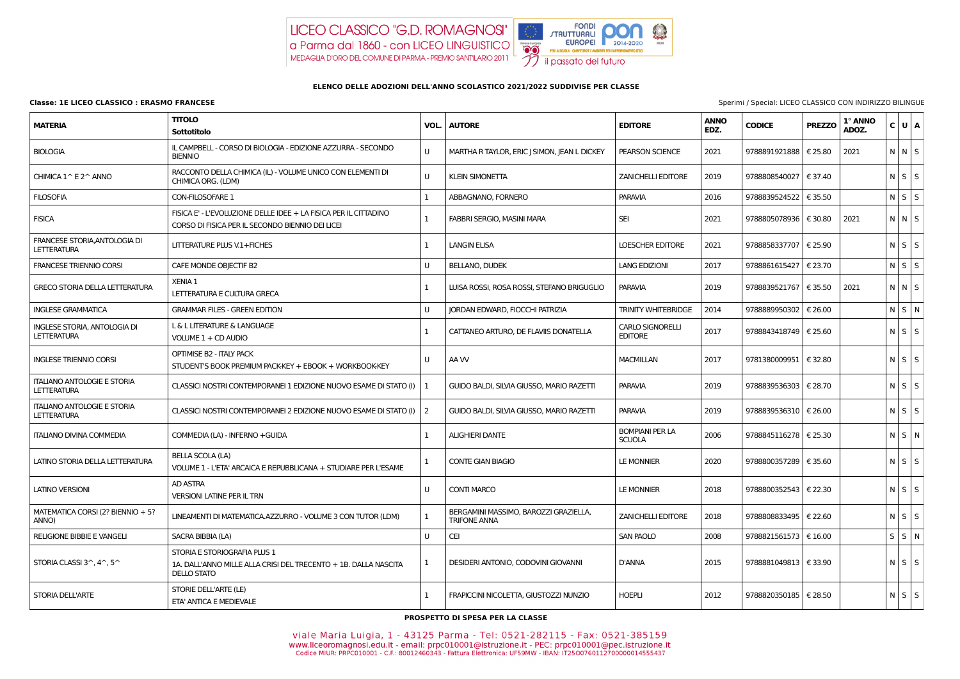## LICEO CLASSICO "G.D. ROMAGNOSI" a Parma dal 1860 - con LICEO LINGUISTICO MEDAGLIA D'ORO DEL COMUNE DI PARMA - PREMIO SANTILARIO 2011



## **ELENCO DELLE ADOZIONI DELL'ANNO SCOLASTICO 2021/2022 SUDDIVISE PER CLASSE**

## **Classe: 1E LICEO CLASSICO : ERASMO FRANCESE** Sperimi / Special: LICEO CLASSICO CON INDIRIZZO BILINGUE

| <b>MATERIA</b>                                           | <b>TITOLO</b><br><b>Sottotitolo</b>                                                                                  | VOL.           | <b>AUTORE</b>                                                | <b>EDITORE</b>                            | <b>ANNO</b><br>EDZ. | <b>CODICE</b>           | <b>PREZZO</b> | 1° ANNO<br>ADOZ. | C U A             |  |
|----------------------------------------------------------|----------------------------------------------------------------------------------------------------------------------|----------------|--------------------------------------------------------------|-------------------------------------------|---------------------|-------------------------|---------------|------------------|-------------------|--|
| <b>BIOLOGIA</b>                                          | IL CAMPBELL - CORSO DI BIOLOGIA - EDIZIONE AZZURRA - SECONDO<br><b>BIENNIO</b>                                       | $\mathbf{U}$   | MARTHA R TAYLOR, ERIC J SIMON, JEAN L DICKEY                 | PEARSON SCIENCE                           | 2021                | 9788891921888   € 25.80 |               | 2021             | N N S             |  |
| CHIMICA 1^ E 2^ ANNO                                     | RACCONTO DELLA CHIMICA (IL) - VOLUME UNICO CON ELEMENTI DI<br>CHIMICA ORG. (LDM)                                     | $\mathbf{U}$   | <b>KLEIN SIMONETTA</b>                                       | <b>ZANICHELLI EDITORE</b>                 | 2019                | 9788808540027   € 37.40 |               |                  | $N \mid S \mid S$ |  |
| <b>FILOSOFIA</b>                                         | CON-FILOSOFARE 1                                                                                                     |                | ABBAGNANO, FORNERO                                           | <b>PARAVIA</b>                            | 2016                | 9788839524522           | € 35.50       |                  | $N$ $S$ $S$       |  |
| <b>FISICA</b>                                            | FISICA E' - L'EVOLUZIONE DELLE IDEE + LA FISICA PER IL CITTADINO<br>CORSO DI FISICA PER IL SECONDO BIENNIO DEI LICEI | $\mathbf{1}$   | FABBRI SERGIO, MASINI MARA                                   | <b>SEI</b>                                | 2021                | 9788805078936   € 30.80 |               | 2021             | $N$ $N$ $S$       |  |
| FRANCESE STORIA, ANTOLOGIA DI<br><b>LETTERATURA</b>      | LITTERATURE PLUS V.1+FICHES                                                                                          | -1             | <b>LANGIN ELISA</b>                                          | <b>LOESCHER EDITORE</b>                   | 2021                | 9788858337707   € 25.90 |               |                  | $N$ $S$ $S$       |  |
| <b>FRANCESE TRIENNIO CORSI</b>                           | CAFE MONDE OBJECTIF B2                                                                                               | U              | <b>BELLANO, DUDEK</b>                                        | <b>LANG EDIZIONI</b>                      | 2017                | 9788861615427           | € 23.70       |                  | $N$ $S$ $S$       |  |
| <b>GRECO STORIA DELLA LETTERATURA</b>                    | <b>XENIA 1</b><br>LETTERATURA E CULTURA GRECA                                                                        |                | LUISA ROSSI, ROSA ROSSI, STEFANO BRIGUGLIO                   | <b>PARAVIA</b>                            | 2019                | 9788839521767   € 35.50 |               | 2021             | $N$ $N$ $S$       |  |
| <b>INGLESE GRAMMATICA</b>                                | <b>GRAMMAR FILES - GREEN EDITION</b>                                                                                 | U              | JORDAN EDWARD, FIOCCHI PATRIZIA                              | <b>TRINITY WHITEBRIDGE</b>                | 2014                | 9788889950302           | € 26.00       |                  | N S N             |  |
| INGLESE STORIA, ANTOLOGIA DI<br><b>LETTERATURA</b>       | L & L LITERATURE & LANGUAGE<br>VOLUME 1 + CD AUDIO                                                                   | 1              | CATTANEO ARTURO, DE FLAVIIS DONATELLA                        | <b>CARLO SIGNORELLI</b><br><b>EDITORE</b> | 2017                | 9788843418749   € 25.60 |               |                  | $N$ $S$ $S$       |  |
| <b>INGLESE TRIENNIO CORSI</b>                            | <b>OPTIMISE B2 - ITALY PACK</b><br>STUDENT'S BOOK PREMIUM PACK-KEY + EBOOK + WORKBOOK-KEY                            | U              | AA W                                                         | <b>MACMILLAN</b>                          | 2017                | 9781380009951   € 32.80 |               |                  | $N$ $S$ $S$       |  |
| <b>ITALIANO ANTOLOGIE E STORIA</b><br><b>LETTERATURA</b> | CLASSICI NOSTRI CONTEMPORANEI 1 EDIZIONE NUOVO ESAME DI STATO (I)                                                    |                | GUIDO BALDI, SILVIA GIUSSO, MARIO RAZETTI                    | <b>PARAVIA</b>                            | 2019                | 9788839536303   € 28.70 |               |                  | $N$ $S$ $S$       |  |
| <b>ITALIANO ANTOLOGIE E STORIA</b><br><b>LETTERATURA</b> | CLASSICI NOSTRI CONTEMPORANEI 2 EDIZIONE NUOVO ESAME DI STATO (I)                                                    | $\overline{2}$ | GUIDO BALDI, SILVIA GIUSSO, MARIO RAZETTI                    | <b>PARAVIA</b>                            | 2019                | 9788839536310   € 26.00 |               |                  | $N$ S S           |  |
| <b>ITALIANO DIVINA COMMEDIA</b>                          | COMMEDIA (LA) - INFERNO + GUIDA                                                                                      | 1              | <b>ALIGHIERI DANTE</b>                                       | <b>BOMPIANI PER LA</b><br><b>SCUOLA</b>   | 2006                | 9788845116278   € 25.30 |               |                  | $N$ S $N$         |  |
| LATINO STORIA DELLA LETTERATURA                          | <b>BELLA SCOLA (LA)</b><br>VOLUME 1 - L'ETA' ARCAICA E REPUBBLICANA + STUDIARE PER L'ESAME                           |                | <b>CONTE GIAN BIAGIO</b>                                     | LE MONNIER                                | 2020                | 9788800357289   € 35.60 |               |                  | $N \mid S \mid S$ |  |
| <b>LATINO VERSIONI</b>                                   | <b>AD ASTRA</b><br><b>VERSIONI LATINE PER IL TRN</b>                                                                 | U              | <b>CONTI MARCO</b>                                           | <b>LE MONNIER</b>                         | 2018                | 9788800352543   € 22.30 |               |                  | $N$ $S$ $S$       |  |
| MATEMATICA CORSI (2? BIENNIO + 5?<br>ANNO)               | LINEAMENTI DI MATEMATICA.AZZURRO - VOLUME 3 CON TUTOR (LDM)                                                          |                | BERGAMINI MASSIMO, BAROZZI GRAZIELLA,<br><b>TRIFONE ANNA</b> | <b>ZANICHELLI EDITORE</b>                 | 2018                | 9788808833495   € 22.60 |               |                  | $N \mid S \mid S$ |  |
| <b>RELIGIONE BIBBIE E VANGELI</b>                        | SACRA BIBBIA (LA)                                                                                                    | U              | <b>CEI</b>                                                   | <b>SAN PAOLO</b>                          | 2008                | 9788821561573   € 16.00 |               |                  | $S$ $S$ $N$       |  |
| STORIA CLASSI 3^, 4^, 5^                                 | STORIA E STORIOGRAFIA PLUS 1<br>1A. DALL'ANNO MILLE ALLA CRISI DEL TRECENTO + 1B. DALLA NASCITA<br>DELLO STATO       | 1              | DESIDERI ANTONIO, CODOVINI GIOVANNI                          | D'ANNA                                    | 2015                | 9788881049813   € 33.90 |               |                  | $N$ $S$ $S$       |  |
| <b>STORIA DELL'ARTE</b>                                  | STORIE DELL'ARTE (LE)<br>ETA' ANTICA E MEDIEVALE                                                                     | -1             | FRAPICCINI NICOLETTA, GIUSTOZZI NUNZIO                       | <b>HOEPLI</b>                             | 2012                | 9788820350185   € 28.50 |               |                  | $N$ $S$ $S$       |  |

**PROSPETTO DI SPESA PER LA CLASSE**